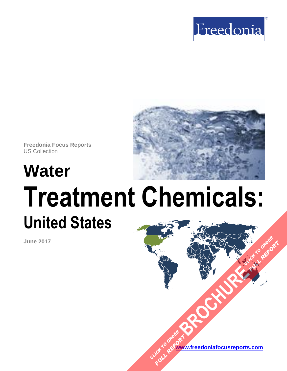



**Freedonia Focus Reports** US Collection

# **Water Treatment Chemicals: United States**

**June 2017**

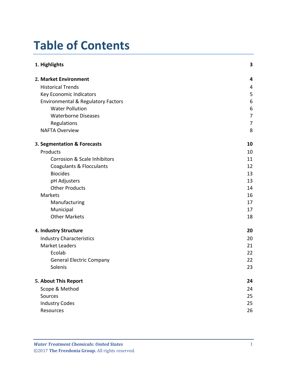# **Table of Contents**

| 1. Highlights                                 | 3              |
|-----------------------------------------------|----------------|
| 2. Market Environment                         | 4              |
| <b>Historical Trends</b>                      | 4              |
| Key Economic Indicators                       | 5              |
| <b>Environmental &amp; Regulatory Factors</b> | 6              |
| <b>Water Pollution</b>                        | 6              |
| <b>Waterborne Diseases</b>                    | $\overline{7}$ |
| Regulations                                   | $\overline{7}$ |
| <b>NAFTA Overview</b>                         | 8              |
| 3. Segmentation & Forecasts                   | 10             |
| Products                                      | 10             |
| Corrosion & Scale Inhibitors                  | 11             |
| <b>Coagulants &amp; Flocculants</b>           | 12             |
| <b>Biocides</b>                               | 13             |
| pH Adjusters                                  | 13             |
| <b>Other Products</b>                         | 14             |
| Markets                                       | 16             |
| Manufacturing                                 | 17             |
| Municipal                                     | 17             |
| <b>Other Markets</b>                          | 18             |
| 4. Industry Structure                         | 20             |
| <b>Industry Characteristics</b>               | 20             |
| <b>Market Leaders</b>                         | 21             |
| Ecolab                                        | 22             |
| <b>General Electric Company</b>               | 22             |
| Solenis                                       | 23             |
| 5. About This Report                          | 24             |
| Scope & Method                                | 24             |
| Sources                                       | 25             |
| <b>Industry Codes</b>                         | 25             |
| Resources                                     | 26             |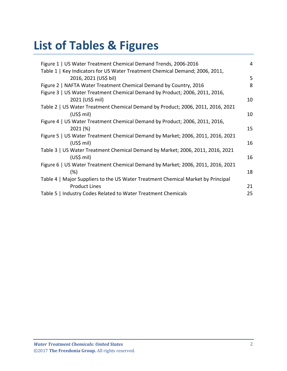# **List of Tables & Figures**

| Figure 1   US Water Treatment Chemical Demand Trends, 2006-2016                  | $\overline{4}$ |
|----------------------------------------------------------------------------------|----------------|
| Table 1   Key Indicators for US Water Treatment Chemical Demand; 2006, 2011,     |                |
| 2016, 2021 (US\$ bil)                                                            | 5              |
| Figure 2   NAFTA Water Treatment Chemical Demand by Country, 2016                | 8              |
| Figure 3   US Water Treatment Chemical Demand by Product; 2006, 2011, 2016,      |                |
| 2021 (US\$ mil)                                                                  | 10             |
| Table 2   US Water Treatment Chemical Demand by Product; 2006, 2011, 2016, 2021  |                |
| $(US$)$ mil)                                                                     | 10             |
| Figure 4   US Water Treatment Chemical Demand by Product; 2006, 2011, 2016,      |                |
| 2021 (%)                                                                         | 15             |
| Figure 5   US Water Treatment Chemical Demand by Market; 2006, 2011, 2016, 2021  |                |
| $(US$)$ mil)                                                                     | 16             |
| Table 3   US Water Treatment Chemical Demand by Market; 2006, 2011, 2016, 2021   |                |
| $(US$)$ mil)                                                                     | 16             |
| Figure 6   US Water Treatment Chemical Demand by Market; 2006, 2011, 2016, 2021  |                |
| (%)                                                                              | 18             |
| Table 4   Major Suppliers to the US Water Treatment Chemical Market by Principal |                |
| <b>Product Lines</b>                                                             | 21             |
| Table 5   Industry Codes Related to Water Treatment Chemicals                    | 25             |
|                                                                                  |                |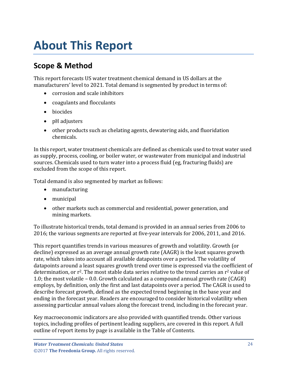# <span id="page-3-0"></span>**About This Report**

# <span id="page-3-1"></span>**Scope & Method**

This report forecasts US water treatment chemical demand in US dollars at the manufacturers' level to 2021. Total demand is segmented by product in terms of:

- corrosion and scale inhibitors
- coagulants and flocculants
- biocides
- pH adjusters
- other products such as chelating agents, dewatering aids, and fluoridation chemicals.

In this report, water treatment chemicals are defined as chemicals used to treat water used as supply, process, cooling, or boiler water, or wastewater from municipal and industrial sources. Chemicals used to turn water into a process fluid (eg, fracturing fluids) are excluded from the scope of this report.

Total demand is also segmented by market as follows:

- manufacturing
- municipal
- other markets such as commercial and residential, power generation, and mining markets.

To illustrate historical trends, total demand is provided in an annual series from 2006 to 2016; the various segments are reported at five-year intervals for 2006, 2011, and 2016.

This report quantifies trends in various measures of growth and volatility. Growth (or decline) expressed as an average annual growth rate (AAGR) is the least squares growth rate, which takes into account all available datapoints over a period. The volatility of datapoints around a least squares growth trend over time is expressed via the coefficient of determination, or  $r^2$ . The most stable data series relative to the trend carries an  $r^2$  value of 1.0; the most volatile – 0.0. Growth calculated as a compound annual growth rate (CAGR) employs, by definition, only the first and last datapoints over a period. The CAGR is used to describe forecast growth, defined as the expected trend beginning in the base year and ending in the forecast year. Readers are encouraged to consider historical volatility when assessing particular annual values along the forecast trend, including in the forecast year.

Key macroeconomic indicators are also provided with quantified trends. Other various topics, including profiles of pertinent leading suppliers, are covered in this report. A full outline of report items by page is available in the Table of Contents.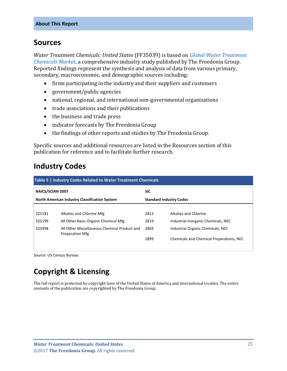### <span id="page-4-0"></span>**Sources**

*Water Treatment Chemicals: United States* (FF35039) is based on *[Global Water Treatment](http://www.freedoniagroup.com/DocumentDetails.aspx?ReferrerId=FL-FOCUS&studyid=3537)  [Chemicals Market,](http://www.freedoniagroup.com/DocumentDetails.aspx?ReferrerId=FL-FOCUS&studyid=3537)* a comprehensive industry study published by The Freedonia Group. Reported findings represent the synthesis and analysis of data from various primary, secondary, macroeconomic, and demographic sources including:

- firms participating in the industry and their suppliers and customers
- government/public agencies
- national, regional, and international non-governmental organizations
- trade associations and their publications
- the business and trade press
- indicator forecasts by The Freedonia Group
- the findings of other reports and studies by The Freedonia Group.

Specific sources and additional resources are listed in the Resources section of this publication for reference and to facilitate further research.

### <span id="page-4-1"></span>**Industry Codes**

<span id="page-4-2"></span>

| <b>Table 5   Industry Codes Related to Water Treatment Chemicals</b> |                                                                        |                                |                                          |  |
|----------------------------------------------------------------------|------------------------------------------------------------------------|--------------------------------|------------------------------------------|--|
| <b>NAICS/SCIAN 2007</b>                                              |                                                                        | <b>SIC</b>                     |                                          |  |
|                                                                      | <b>North American Industry Classification System</b>                   | <b>Standard Industry Codes</b> |                                          |  |
|                                                                      |                                                                        |                                |                                          |  |
| 325181                                                               | Alkalies and Chlorine Mfg                                              | 2812                           | Alkalies and Chlorine                    |  |
| 325199                                                               | All Other Basic Organic Chemical Mfg                                   | 2819                           | Industrial Inorganic Chemicals, NEC      |  |
| 325998                                                               | All Other Miscellaneous Chemical Product and<br><b>Preparation Mfg</b> | 2869                           | Industrial Organic Chemicals, NEC        |  |
|                                                                      |                                                                        | 2899                           | Chemicals and Chemical Preparations, NEC |  |
|                                                                      |                                                                        |                                |                                          |  |

Source: US Census Bureau

# **Copyright & Licensing**

The full report is protected by copyright laws of the United States of America and international treaties. The entire contents of the publication are copyrighted by The Freedonia Group.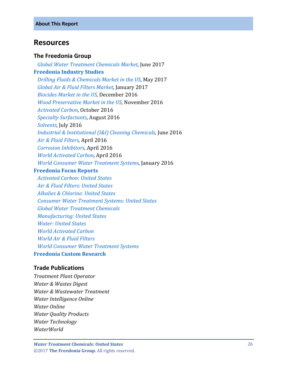### <span id="page-5-0"></span>**Resources**

#### **The Freedonia Group**

 *[Global Water Treatment Chemicals Market,](http://www.freedoniagroup.com/DocumentDetails.aspx?ReferrerId=FL-FOCUS&studyid=3537)* June 2017 **[Freedonia Industry Studies](http://www.freedoniagroup.com/Home.aspx?ReferrerId=FL-Focus)**  *[Drilling Fluids & Chemicals Market in the US,](http://www.freedoniagroup.com/DocumentDetails.aspx?ReferrerId=FL-FOCUS&studyid=3515)* May 2017  *[Global Air & Fluid Filters Market,](http://www.freedoniagroup.com/DocumentDetails.aspx?ReferrerId=FL-FOCUS&studyid=3443)* January 2017  *[Biocides Market in the US,](http://www.freedoniagroup.com/DocumentDetails.aspx?ReferrerId=FL-FOCUS&studyid=3457)* December 2016  *[Wood Preservative Market in the US,](http://www.freedoniagroup.com/DocumentDetails.aspx?ReferrerId=FL-FOCUS&studyid=3456)* November 2016  *[Activated Carbon,](http://www.freedoniagroup.com/DocumentDetails.aspx?ReferrerId=FL-FOCUS&studyid=3467)* October 2016  *[Specialty Surfactants,](http://www.freedoniagroup.com/DocumentDetails.aspx?ReferrerId=FL-FOCUS&studyid=3448)* August 2016  *[Solvents,](http://www.freedoniagroup.com/DocumentDetails.aspx?ReferrerId=FL-FOCUS&studyid=3429)* July 2016  *[Industrial & Institutional \(I&I\) Cleaning Chemicals,](http://www.freedoniagroup.com/DocumentDetails.aspx?ReferrerId=FL-FOCUS&studyid=3424)* June 2016  *[Air & Fluid Filters,](http://www.freedoniagroup.com/DocumentDetails.aspx?ReferrerId=FL-FOCUS&studyid=3379)* April 2016  *[Corrosion Inhibitors,](http://www.freedoniagroup.com/DocumentDetails.aspx?ReferrerId=FL-FOCUS&studyid=3409)* April 2016  *[World Activated Carbon,](http://www.freedoniagroup.com/DocumentDetails.aspx?ReferrerId=FL-FOCUS&studyid=3404)* April 2016  *[World Consumer Water Treatment Systems,](http://www.freedoniagroup.com/DocumentDetails.aspx?ReferrerId=FL-FOCUS&studyid=3360)* January 2016 **[Freedonia Focus Reports](https://www.freedoniafocusreports.com/redirect.asp?progid=89534&url=/)**

 *[Activated Carbon: United States](https://www.freedoniafocusreports.com/Activated-Carbon-United-States-FF35050/) [Air & Fluid Filters: United States](https://www.freedoniafocusreports.com/Air-Fluid-Filters-United-States-FF70012/) [Alkalies & Chlorine: United States](https://www.freedoniafocusreports.com/Alkalies-Chlorine-United-States-FF35010/) [Consumer Water Treatment Systems: United States](https://www.freedoniafocusreports.com/Consumer-Water-Treatment-Systems-United-States-FF90023/) [Global Water Treatment Chemicals](https://www.freedoniafocusreports.com/Freedonia-Focus-on-World-Water-Treatment-Chemicals-FW35039/) [Manufacturing: United States](https://www.freedoniafocusreports.com/Manufacturing-United-States-FF70032/) [Water: United States](https://www.freedoniafocusreports.com/Water-United-States-FF95025/) [World Activated Carbon](https://www.freedoniafocusreports.com/World-Activated-Carbon-FW35050/) [World Air & Fluid Filters](https://www.freedoniafocusreports.com/World-Air-Fluid-Filters-FW70012/) [World Consumer Water Treatment Systems](https://www.freedoniafocusreports.com/World-Consumer-Water-Treatment-Systems-FW90023/)* **[Freedonia Custom Research](http://www.freedoniagroup.com/CustomResearch.aspx?ReferrerId=FL-Focus)**

#### **Trade Publications**

*Treatment Plant Operator Water & Wastes Digest Water & Wastewater Treatment Water Intelligence Online Water Online Water Quality Products Water Technology WaterWorld*